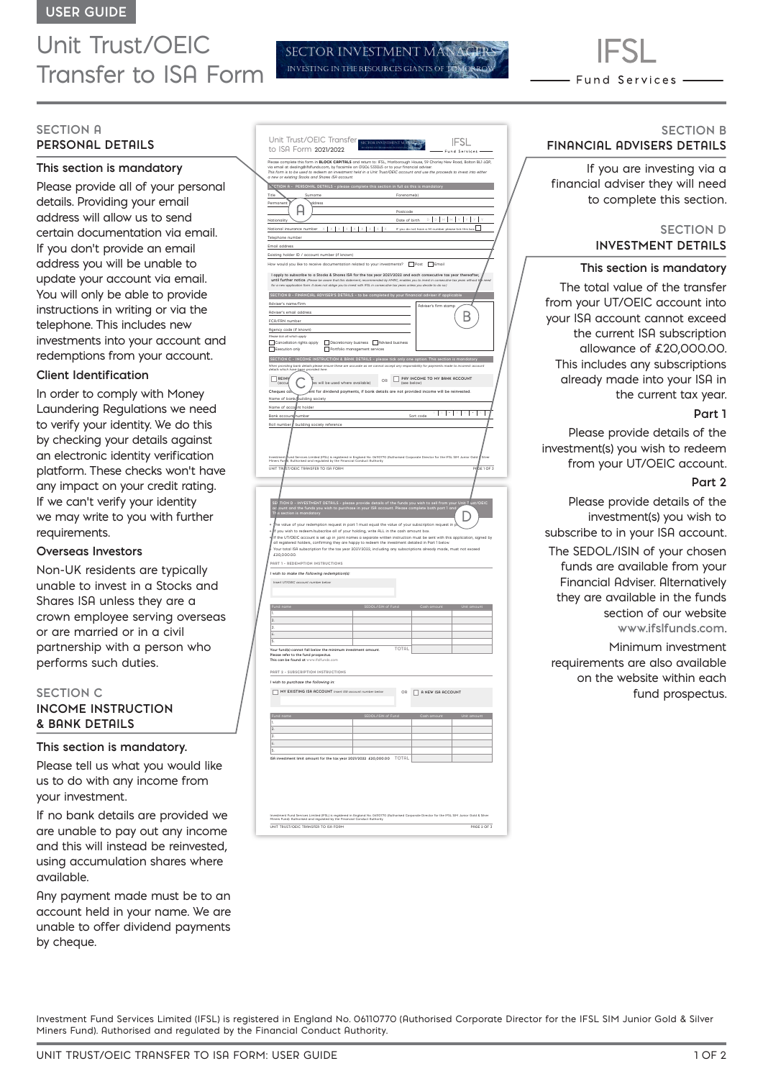# Unit Trust/OEIC Transfer to ISA Form

## **SECTION A PERSONAL DETAILS**

## **This section is mandatory**

Please provide all of your personal details. Providing your email address will allow us to send certain documentation via email. If you don't provide an email address you will be unable to update your account via email. You will only be able to provide instructions in writing or via the telephone. This includes new investments into your account and redemptions from your account.

#### **Client Identification**

In order to comply with Money Laundering Regulations we need to verify your identity. We do this by checking your details against an electronic identity verification platform. These checks won't have any impact on your credit rating. If we can't verify your identity we may write to you with further requirements.

#### **Overseas Investors**

Non-UK residents are typically unable to invest in a Stocks and Shares ISA unless they are a crown employee serving overseas or are married or in a civil partnership with a person who performs such duties.

## **SECTION C INCOME INSTRUCTION & BANK DETAILS**

## **This section is mandatory.**

Please tell us what you would like us to do with any income from your investment.

If no bank details are provided we are unable to pay out any income and this will instead be reinvested, using accumulation shares where available.

Any payment made must be to an account held in your name. We are unable to offer dividend payments by cheque.

|                                                                               | to ISA Form 2021/2022<br>- Fund Services -                                                                                                                                                                                                                                                                                                                       |                     |
|-------------------------------------------------------------------------------|------------------------------------------------------------------------------------------------------------------------------------------------------------------------------------------------------------------------------------------------------------------------------------------------------------------------------------------------------------------|---------------------|
|                                                                               | .<br>Please complete this form in <b>BLOCK CAPITALS</b> and return to: IFSL, Mariborough House, 59 Chorley New Road, Bolton BLI <i>L</i> QP,<br>via email at dealing@ifsifunds.com, by facsimile on 0120 <i>L</i> 5330 <i>L</i> 5 or to your financial advis                                                                                                     |                     |
|                                                                               |                                                                                                                                                                                                                                                                                                                                                                  |                     |
|                                                                               | This form is to be used to redeem an investment held in a Unit Trust/OEIC account and use the proceeds to invest into either<br>This form is to be used to redeem an investment held in a Unit Trust/OEIC account and use the pro                                                                                                                                |                     |
|                                                                               | STOTION A - PERSONAL DETAILS - please complete this section in full as this is mandatory                                                                                                                                                                                                                                                                         |                     |
| Title                                                                         | Surname<br>Forename(s)                                                                                                                                                                                                                                                                                                                                           |                     |
| Permanent                                                                     | ddress<br>н                                                                                                                                                                                                                                                                                                                                                      |                     |
| Nationality                                                                   | Postcode<br>$\begin{array}{c} \mathsf{D} & \mathsf{D} & \mathsf{M} & \mathsf{M} \end{array}$<br>Date of birth                                                                                                                                                                                                                                                    |                     |
|                                                                               | If you do not have a NI number please tick this box<br>National insurance number                                                                                                                                                                                                                                                                                 |                     |
| Telephone number                                                              |                                                                                                                                                                                                                                                                                                                                                                  |                     |
| Email address                                                                 |                                                                                                                                                                                                                                                                                                                                                                  |                     |
|                                                                               | Existing holder ID / account number (if known)                                                                                                                                                                                                                                                                                                                   |                     |
|                                                                               | How would you like to receive documentation related to your investments? Dost C Email                                                                                                                                                                                                                                                                            |                     |
|                                                                               | I apply to subscribe to a Stocks & Shares ISA for the tax year 2021/2022 and each consecutive tax year thereafter,<br>until further notice. (Please be aware that this statement, recommended by HMRC, enables you to invest in consecuti<br>for a new application form. It does not oblige you to invest with IFSL in consecutive tax years unless you<br>tax y | we we               |
|                                                                               | SECTION B - FINANCIAL ADVISER'S DETAILS - to be completed by your financial adviser if applicable                                                                                                                                                                                                                                                                |                     |
|                                                                               | Adviser's name/firm<br>Adviser's firm stamp                                                                                                                                                                                                                                                                                                                      |                     |
|                                                                               | Adviser's email address                                                                                                                                                                                                                                                                                                                                          |                     |
| FCA/FRN number                                                                |                                                                                                                                                                                                                                                                                                                                                                  | В                   |
|                                                                               | Agency code (if known)                                                                                                                                                                                                                                                                                                                                           |                     |
|                                                                               | ase tick all which apply<br>Cancellation rights apply<br>Discretionary business   Advised business                                                                                                                                                                                                                                                               |                     |
| Execution only                                                                | Portfolio management services                                                                                                                                                                                                                                                                                                                                    |                     |
|                                                                               | SECTION C - INCOME INSTRUCTION & BRNK DETRILS - please tick only one option. This section is n                                                                                                                                                                                                                                                                   | andatory            |
|                                                                               | When providing bank deta<br>details which hav <u>e been</u> p<br>accurate as we ca<br>ails please en<br>worked ham<br>e these are<br>not a                                                                                                                                                                                                                       |                     |
| $\begin{tabular}{ c c } \hline & REIN \\ \hline (accui) \hline \end{tabular}$ | PRY INCOME TO MY BANK ACCOUNT<br>$\mathsf{OR}$                                                                                                                                                                                                                                                                                                                   |                     |
|                                                                               | s will be used where available)<br>(see belo                                                                                                                                                                                                                                                                                                                     |                     |
| Cheque                                                                        | ,<br>nt for dividend payments, if bank details are not provided income will be reinvested.<br>Name of bank/building society                                                                                                                                                                                                                                      |                     |
| Name of acco                                                                  | nt holder                                                                                                                                                                                                                                                                                                                                                        |                     |
| <b>Bank accour</b>                                                            | Ţ<br>ı<br>ı<br>$\overline{\phantom{a}}$<br>ı<br>Sort code<br>number                                                                                                                                                                                                                                                                                              | ान<br>ı             |
| Roll number                                                                   | building society reference                                                                                                                                                                                                                                                                                                                                       |                     |
|                                                                               |                                                                                                                                                                                                                                                                                                                                                                  |                     |
|                                                                               |                                                                                                                                                                                                                                                                                                                                                                  |                     |
|                                                                               |                                                                                                                                                                                                                                                                                                                                                                  |                     |
| investmer<br>Miners Fu                                                        | und Services Limited (IFSL) is registered in England No. 06110770 (Authorised Corporate Dire<br>. Authorised and regulated by the Financial Conduct Authority.<br>ctor for the IFSL SIM J                                                                                                                                                                        |                     |
| UNIT TP                                                                       | ST/OEIC TRANSFER TO ISA FORM                                                                                                                                                                                                                                                                                                                                     | -<br>SE 1 OF 3<br>p |
|                                                                               |                                                                                                                                                                                                                                                                                                                                                                  |                     |
|                                                                               |                                                                                                                                                                                                                                                                                                                                                                  |                     |
|                                                                               |                                                                                                                                                                                                                                                                                                                                                                  |                     |
|                                                                               |                                                                                                                                                                                                                                                                                                                                                                  |                     |
|                                                                               |                                                                                                                                                                                                                                                                                                                                                                  | It Tust/OEIC        |
|                                                                               |                                                                                                                                                                                                                                                                                                                                                                  |                     |
| he                                                                            | value of your redemption request in part 1 must equal the value of your subscription request in                                                                                                                                                                                                                                                                  |                     |
|                                                                               | you wish to redeem/subscribe all of your holding, write ALL in the cash amount box.                                                                                                                                                                                                                                                                              |                     |
|                                                                               | If the UT/OEIC account is set up in joint names a separate written instruction must be sent with this application, signed by                                                                                                                                                                                                                                     |                     |
|                                                                               | all registered holders, confirming they are happy to redeem the investment detailed in Part 1 below<br>Your total ISA subscription for the tax year 2021/2022, including any subscriptions already made, must not exceed                                                                                                                                         |                     |
| £20,000.00.                                                                   |                                                                                                                                                                                                                                                                                                                                                                  |                     |
|                                                                               | PART 1 - REDEMPTION INSTRUCTIONS                                                                                                                                                                                                                                                                                                                                 |                     |
|                                                                               | wish to make the following redemption(s).                                                                                                                                                                                                                                                                                                                        |                     |
|                                                                               | ert UT/OEIC account number b                                                                                                                                                                                                                                                                                                                                     |                     |
|                                                                               |                                                                                                                                                                                                                                                                                                                                                                  |                     |
| Fur                                                                           |                                                                                                                                                                                                                                                                                                                                                                  |                     |
| ï                                                                             |                                                                                                                                                                                                                                                                                                                                                                  |                     |
| $\overline{2}$                                                                |                                                                                                                                                                                                                                                                                                                                                                  |                     |
| $\overline{\mathbf{x}}$<br>$\overline{a}$                                     |                                                                                                                                                                                                                                                                                                                                                                  |                     |
| $\overline{\phantom{a}}$                                                      |                                                                                                                                                                                                                                                                                                                                                                  |                     |
|                                                                               | TOTAL<br>Your fund(s) cannot fall below the minimum investment amount.                                                                                                                                                                                                                                                                                           |                     |
| Diens                                                                         | as a refer to the fund prospectus<br>is can be found at www.ifsifunds                                                                                                                                                                                                                                                                                            |                     |
|                                                                               | PART 2 - SUBSCRIPTION INSTRUCTIONS                                                                                                                                                                                                                                                                                                                               |                     |
|                                                                               |                                                                                                                                                                                                                                                                                                                                                                  |                     |
|                                                                               | I wish to purchase the following in:                                                                                                                                                                                                                                                                                                                             |                     |
| ľ                                                                             | MY EXISTING ISR RCCOUNT Insert ISR account nut<br>OR A NEW ISA ACCOUNT<br>ber belo                                                                                                                                                                                                                                                                               |                     |
|                                                                               |                                                                                                                                                                                                                                                                                                                                                                  |                     |
|                                                                               |                                                                                                                                                                                                                                                                                                                                                                  |                     |
| Fu<br>ï                                                                       | SEDOL/ISIN of Fund                                                                                                                                                                                                                                                                                                                                               |                     |
| $\overline{2}$                                                                |                                                                                                                                                                                                                                                                                                                                                                  |                     |
| $\overline{\mathbf{3}}$<br>$\mathcal{L}$                                      |                                                                                                                                                                                                                                                                                                                                                                  |                     |
| s                                                                             |                                                                                                                                                                                                                                                                                                                                                                  |                     |
|                                                                               | TOTAL<br>ISR investment limit amount for the tax year 2021/2022 £20,000.00                                                                                                                                                                                                                                                                                       |                     |

Unit Trust/OEIC Transfer

SECTOR INVESTMENT M INVESTING IN THE RESOURCES GIANTS OF

 $|C|$ 

UNIT TRUST/OEIC TRANSFER TO ISA FORM PAGE 2 OF 3 Investment Fund Services Limited (IFSL) is registered in England No. 06110770 (Authorised Corporate Director for the IFSL SIM Junior Gold & Silver Miners Fund). Authorised and regulated by the Financial Conduct Authority.



Fund Services -

If you are investing via a financial adviser they will need to complete this section.

#### **SECTION D INVESTMENT DETAILS**

#### **This section is mandatory**

The total value of the transfer from your UT/OEIC account into your ISA account cannot exceed the current ISA subscription allowance of £20,000.00. This includes any subscriptions already made into your ISA in the current tax year.

#### **Part 1**

Please provide details of the investment(s) you wish to redeem from your UT/OEIC account.

#### **Part 2**

Please provide details of the investment(s) you wish to subscribe to in your ISA account.

The SEDOL/ISIN of your chosen funds are available from your Financial Adviser. Alternatively they are available in the funds section of our website **www.ifslfunds.com**.

Minimum investment requirements are also available on the website within each fund prospectus.

Investment Fund Services Limited (IFSL) is registered in England No. 06110770 (Authorised Corporate Director for the IFSL SIM Junior Gold & Silver Miners Fund). Authorised and regulated by the Financial Conduct Authority.